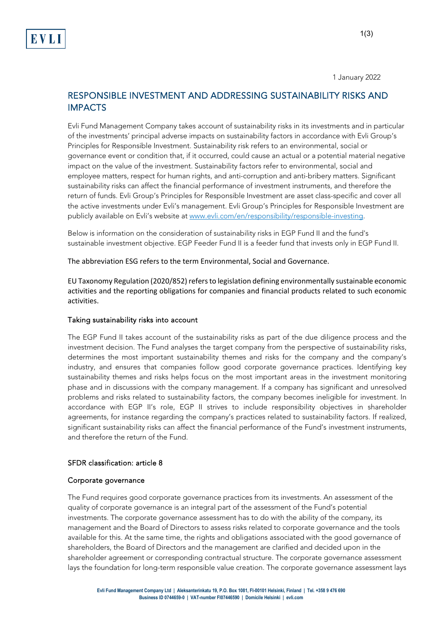1 January 2022

# RESPONSIBLE INVESTMENT AND ADDRESSING SUSTAINABILITY RISKS AND IMPACTS

Evli Fund Management Company takes account of sustainability risks in its investments and in particular of the investments' principal adverse impacts on sustainability factors in accordance with Evli Group's Principles for Responsible Investment. Sustainability risk refers to an environmental, social or governance event or condition that, if it occurred, could cause an actual or a potential material negative impact on the value of the investment. Sustainability factors refer to environmental, social and employee matters, respect for human rights, and anti-corruption and anti-bribery matters. Significant sustainability risks can affect the financial performance of investment instruments, and therefore the return of funds. Evli Group's Principles for Responsible Investment are asset class-specific and cover all the active investments under Evli's management. Evli Group's Principles for Responsible Investment are publicly available on Evli's website a[t www.evli.com/en/responsibility/responsible-investing.](http://www.evli.com/en/responsibility/responsible-investing)

Below is information on the consideration of sustainability risks in EGP Fund II and the fund's sustainable investment objective. EGP Feeder Fund II is a feeder fund that invests only in EGP Fund II.

The abbreviation ESG refers to the term Environmental, Social and Governance. 

EU Taxonomy Regulation (2020/852) refers to legislation defining environmentally sustainable economic activities and the reporting obligations for companies and financial products related to such economic activities.

# Taking sustainability risks into account

The EGP Fund II takes account of the sustainability risks as part of the due diligence process and the investment decision. The Fund analyses the target company from the perspective of sustainability risks, determines the most important sustainability themes and risks for the company and the company's industry, and ensures that companies follow good corporate governance practices. Identifying key sustainability themes and risks helps focus on the most important areas in the investment monitoring phase and in discussions with the company management. If a company has significant and unresolved problems and risks related to sustainability factors, the company becomes ineligible for investment. In accordance with EGP II's role, EGP II strives to include responsibility objectives in shareholder agreements, for instance regarding the company's practices related to sustainability factors. If realized, significant sustainability risks can affect the financial performance of the Fund's investment instruments, and therefore the return of the Fund.

# SFDR classification: article 8

# Corporate governance

The Fund requires good corporate governance practices from its investments. An assessment of the quality of corporate governance is an integral part of the assessment of the Fund's potential investments. The corporate governance assessment has to do with the ability of the company, its management and the Board of Directors to assess risks related to corporate governance and the tools available for this. At the same time, the rights and obligations associated with the good governance of shareholders, the Board of Directors and the management are clarified and decided upon in the shareholder agreement or corresponding contractual structure. The corporate governance assessment lays the foundation for long-term responsible value creation. The corporate governance assessment lays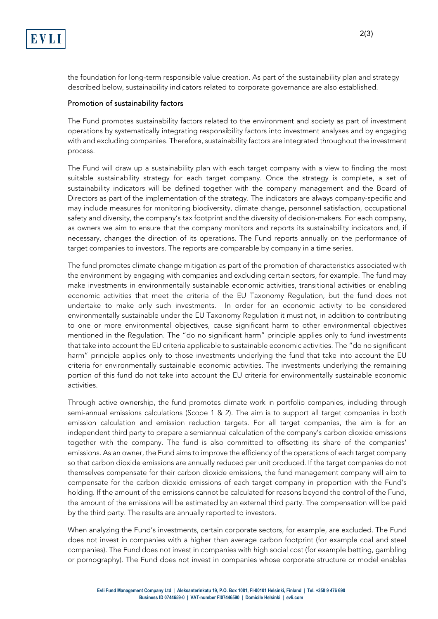the foundation for long-term responsible value creation. As part of the sustainability plan and strategy described below, sustainability indicators related to corporate governance are also established.

# Promotion of sustainability factors

The Fund promotes sustainability factors related to the environment and society as part of investment operations by systematically integrating responsibility factors into investment analyses and by engaging with and excluding companies. Therefore, sustainability factors are integrated throughout the investment process.

The Fund will draw up a sustainability plan with each target company with a view to finding the most suitable sustainability strategy for each target company. Once the strategy is complete, a set of sustainability indicators will be defined together with the company management and the Board of Directors as part of the implementation of the strategy. The indicators are always company-specific and may include measures for monitoring biodiversity, climate change, personnel satisfaction, occupational safety and diversity, the company's tax footprint and the diversity of decision-makers. For each company, as owners we aim to ensure that the company monitors and reports its sustainability indicators and, if necessary, changes the direction of its operations. The Fund reports annually on the performance of target companies to investors. The reports are comparable by company in a time series.

The fund promotes climate change mitigation as part of the promotion of characteristics associated with the environment by engaging with companies and excluding certain sectors, for example. The fund may make investments in environmentally sustainable economic activities, transitional activities or enabling economic activities that meet the criteria of the EU Taxonomy Regulation, but the fund does not undertake to make only such investments. In order for an economic activity to be considered environmentally sustainable under the EU Taxonomy Regulation it must not, in addition to contributing to one or more environmental objectives, cause significant harm to other environmental objectives mentioned in the Regulation. The "do no significant harm" principle applies only to fund investments that take into account the EU criteria applicable to sustainable economic activities. The "do no significant harm" principle applies only to those investments underlying the fund that take into account the EU criteria for environmentally sustainable economic activities. The investments underlying the remaining portion of this fund do not take into account the EU criteria for environmentally sustainable economic activities.

Through active ownership, the fund promotes climate work in portfolio companies, including through semi-annual emissions calculations (Scope 1 & 2). The aim is to support all target companies in both emission calculation and emission reduction targets. For all target companies, the aim is for an independent third party to prepare a semiannual calculation of the company's carbon dioxide emissions together with the company. The fund is also committed to offsetting its share of the companies' emissions. As an owner, the Fund aims to improve the efficiency of the operations of each target company so that carbon dioxide emissions are annually reduced per unit produced. If the target companies do not themselves compensate for their carbon dioxide emissions, the fund management company will aim to compensate for the carbon dioxide emissions of each target company in proportion with the Fund's holding. If the amount of the emissions cannot be calculated for reasons beyond the control of the Fund, the amount of the emissions will be estimated by an external third party. The compensation will be paid by the third party. The results are annually reported to investors.

When analyzing the Fund's investments, certain corporate sectors, for example, are excluded. The Fund does not invest in companies with a higher than average carbon footprint (for example coal and steel companies). The Fund does not invest in companies with high social cost (for example betting, gambling or pornography). The Fund does not invest in companies whose corporate structure or model enables